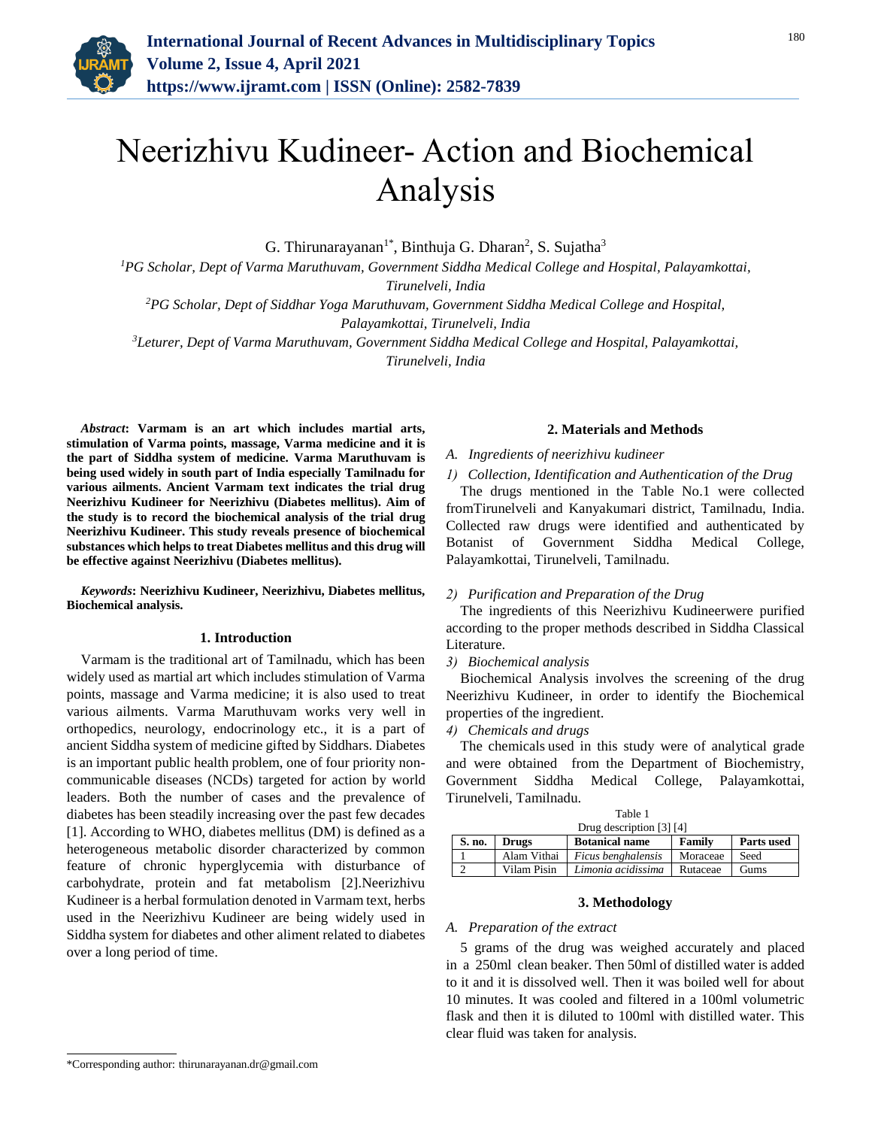

# Neerizhivu Kudineer- Action and Biochemical Analysis

G. Thirunarayanan<sup>1\*</sup>, Binthuja G. Dharan<sup>2</sup>, S. Sujatha<sup>3</sup>

*<sup>1</sup>PG Scholar, Dept of Varma Maruthuvam, Government Siddha Medical College and Hospital, Palayamkottai, Tirunelveli, India*

*<sup>2</sup>PG Scholar, Dept of Siddhar Yoga Maruthuvam, Government Siddha Medical College and Hospital, Palayamkottai, Tirunelveli, India*

*<sup>3</sup>Leturer, Dept of Varma Maruthuvam, Government Siddha Medical College and Hospital, Palayamkottai,* 

*Tirunelveli, India*

*Abstract***: Varmam is an art which includes martial arts, stimulation of Varma points, massage, Varma medicine and it is the part of Siddha system of medicine. Varma Maruthuvam is being used widely in south part of India especially Tamilnadu for various ailments. Ancient Varmam text indicates the trial drug Neerizhivu Kudineer for Neerizhivu (Diabetes mellitus). Aim of the study is to record the biochemical analysis of the trial drug Neerizhivu Kudineer. This study reveals presence of biochemical substances which helps to treat Diabetes mellitus and this drug will be effective against Neerizhivu (Diabetes mellitus).**

*Keywords***: Neerizhivu Kudineer, Neerizhivu, Diabetes mellitus, Biochemical analysis.**

#### **1. Introduction**

Varmam is the traditional art of Tamilnadu, which has been widely used as martial art which includes stimulation of Varma points, massage and Varma medicine; it is also used to treat various ailments. Varma Maruthuvam works very well in orthopedics, neurology, endocrinology etc., it is a part of ancient Siddha system of medicine gifted by Siddhars. Diabetes is an important public health problem, one of four priority noncommunicable diseases (NCDs) targeted for action by world leaders. Both the number of cases and the prevalence of diabetes has been steadily increasing over the past few decades [1]. According to WHO, diabetes mellitus (DM) is defined as a heterogeneous metabolic disorder characterized by common feature of chronic hyperglycemia with disturbance of carbohydrate, protein and fat metabolism [2].Neerizhivu Kudineer is a herbal formulation denoted in Varmam text, herbs used in the Neerizhivu Kudineer are being widely used in Siddha system for diabetes and other aliment related to diabetes over a long period of time.

## **2. Materials and Methods**

## *A. Ingredients of neerizhivu kudineer*

*1) Collection, Identification and Authentication of the Drug*

The drugs mentioned in the Table No.1 were collected fromTirunelveli and Kanyakumari district, Tamilnadu, India. Collected raw drugs were identified and authenticated by Botanist of Government Siddha Medical College, Palayamkottai, Tirunelveli, Tamilnadu.

#### *2) Purification and Preparation of the Drug*

The ingredients of this Neerizhivu Kudineerwere purified according to the proper methods described in Siddha Classical Literature.

#### *3) Biochemical analysis*

Biochemical Analysis involves the screening of the drug Neerizhivu Kudineer, in order to identify the Biochemical properties of the ingredient.

## *4) Chemicals and drugs*

The chemicals used in this study were of analytical grade and were obtained from the Department of Biochemistry, Government Siddha Medical College, Palayamkottai, Tirunelveli, Tamilnadu.

| Table 1                  |              |                       |          |                   |  |
|--------------------------|--------------|-----------------------|----------|-------------------|--|
| Drug description [3] [4] |              |                       |          |                   |  |
| S. no.                   | <b>Drugs</b> | <b>Botanical name</b> | Family   | <b>Parts used</b> |  |
|                          | Alam Vithai  | Ficus benghalensis    | Moraceae | Seed              |  |
|                          | Vilam Pisin  | Limonia acidissima    | Rutaceae | Gums              |  |

## **3. Methodology**

### *A. Preparation of the extract*

5 grams of the drug was weighed accurately and placed in a 250ml clean beaker. Then 50ml of distilled water is added to it and it is dissolved well. Then it was boiled well for about 10 minutes. It was cooled and filtered in a 100ml volumetric flask and then it is diluted to 100ml with distilled water. This clear fluid was taken for analysis.

<sup>\*</sup>Corresponding author: thirunarayanan.dr@gmail.com